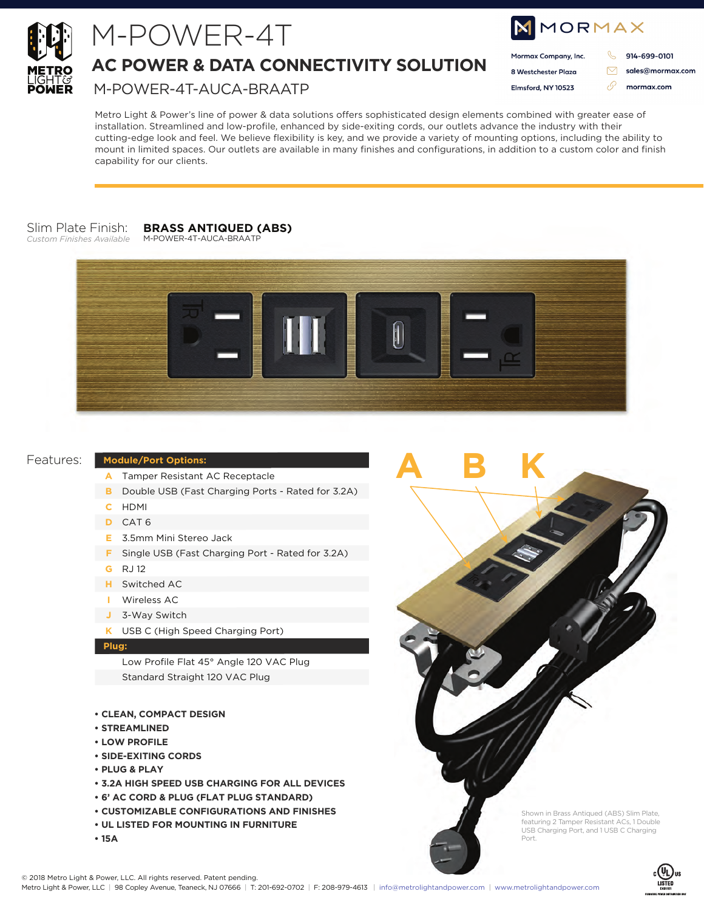

# M-POWER-4T

# **AC POWER & DATA CONNECTIVITY SOLUTION**

M-POWER-4T-AUCA-BRAATP

| IMMORMAX |                      |  |                  |  |  |  |  |
|----------|----------------------|--|------------------|--|--|--|--|
|          | Mormax Company, Inc. |  | 914-699-0101     |  |  |  |  |
|          | 8 Westchester Plaza  |  | sales@mormax.com |  |  |  |  |
|          | Elmsford, NY 10523   |  | mormax.com       |  |  |  |  |
|          |                      |  |                  |  |  |  |  |

Metro Light & Power's line of power & data solutions offers sophisticated design elements combined with greater ease of installation. Streamlined and low-profile, enhanced by side-exiting cords, our outlets advance the industry with their cutting-edge look and feel. We believe flexibility is key, and we provide a variety of mounting options, including the ability to mount in limited spaces. Our outlets are available in many finishes and configurations, in addition to a custom color and finish capability for our clients.

#### Slim Plate Finish: *Custom Finishes Available*

#### **BRASS ANTIQUED (ABS)** M-POWER-4T-AUCA-BRAATP





**ABK**

# Features:

## **Module/Port Options:**

- Tamper Resistant AC Receptacle **A**
- **B** Double USB (Fast Charging Ports Rated for 3.2A)
- HDMI **C**
- CAT 6 **D**
- 3.5mm Mini Stereo Jack **E**
- **F** Single USB (Fast Charging Port Rated for 3.2A)
- RJ 12 **G**
- Switched AC **H**
- Wireless AC **I**
- 3-Way Switch **J**
- USB C (High Speed Charging Port) **K**

### **Plug:**

Low Profile Flat 45° Angle 120 VAC Plug Standard Straight 120 VAC Plug

- **CLEAN, COMPACT DESIGN**
- **STREAMLINED**
- **LOW PROFILE**
- **SIDE-EXITING CORDS**
- **PLUG & PLAY**
- **3.2A HIGH SPEED USB CHARGING FOR ALL DEVICES**
- **6' AC CORD & PLUG (FLAT PLUG STANDARD)**
- **CUSTOMIZABLE CONFIGURATIONS AND FINISHES**
- **UL LISTED FOR MOUNTING IN FURNITURE**
- **15A**

Shown in Brass Antiqued (ABS) Slim Plate, featuring 2 Tamper Resistant ACs, 1 Double USB Charging Port, and 1 USB C Charging Port.